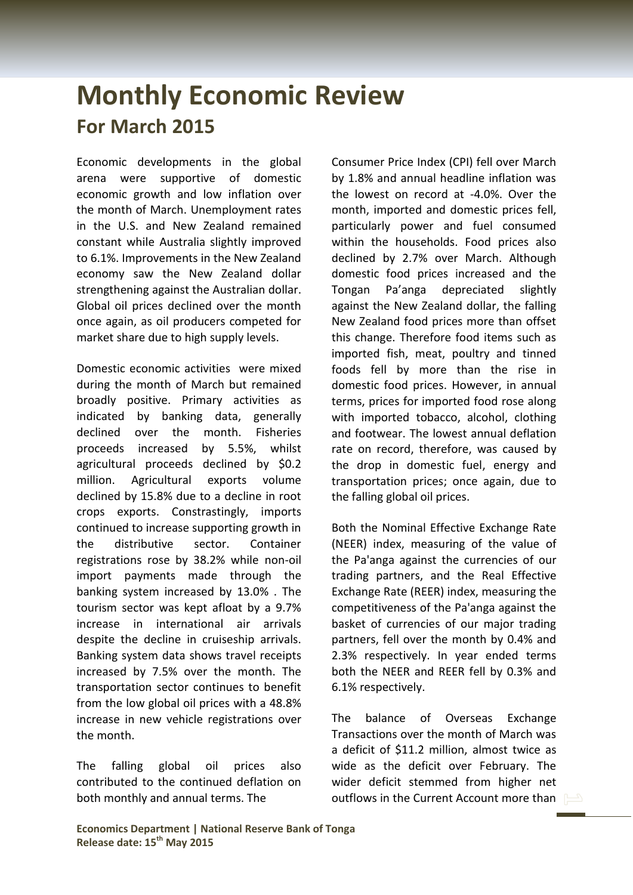## **Monthly Economic Review For March 2015**

Economic developments in the global arena were supportive of domestic economic growth and low inflation over the month of March. Unemployment rates in the U.S. and New Zealand remained constant while Australia slightly improved to 6.1%. Improvements in the New Zealand economy saw the New Zealand dollar strengthening against the Australian dollar. Global oil prices declined over the month once again, as oil producers competed for market share due to high supply levels.

Domestic economic activities were mixed during the month of March but remained broadly positive. Primary activities as indicated by banking data, generally declined over the month. Fisheries proceeds increased by 5.5%, whilst agricultural proceeds declined by \$0.2 million. Agricultural exports volume declined by 15.8% due to a decline in root crops exports. Constrastingly, imports continued to increase supporting growth in the distributive sector. Container registrations rose by 38.2% while non-oil import payments made through the banking system increased by 13.0% . The tourism sector was kept afloat by a 9.7% increase in international air arrivals despite the decline in cruiseship arrivals. Banking system data shows travel receipts increased by 7.5% over the month. The transportation sector continues to benefit from the low global oil prices with a 48.8% increase in new vehicle registrations over the month.

The falling global oil prices also contributed to the continued deflation on both monthly and annual terms. The

Consumer Price Index (CPI) fell over March by 1.8% and annual headline inflation was the lowest on record at -4.0%. Over the month, imported and domestic prices fell, particularly power and fuel consumed within the households. Food prices also declined by 2.7% over March. Although domestic food prices increased and the Tongan Pa'anga depreciated slightly against the New Zealand dollar, the falling New Zealand food prices more than offset this change. Therefore food items such as imported fish, meat, poultry and tinned foods fell by more than the rise in domestic food prices. However, in annual terms, prices for imported food rose along with imported tobacco, alcohol, clothing and footwear. The lowest annual deflation rate on record, therefore, was caused by the drop in domestic fuel, energy and transportation prices; once again, due to the falling global oil prices.

Both the Nominal Effective Exchange Rate (NEER) index, measuring of the value of the Pa'anga against the currencies of our trading partners, and the Real Effective Exchange Rate (REER) index, measuring the competitiveness of the Pa'anga against the basket of currencies of our major trading partners, fell over the month by 0.4% and 2.3% respectively. In year ended terms both the NEER and REER fell by 0.3% and 6.1% respectively.

The balance of Overseas Exchange Transactions over the month of March was a deficit of \$11.2 million, almost twice as wide as the deficit over February. The wider deficit stemmed from higher net outflows in the Current Account more than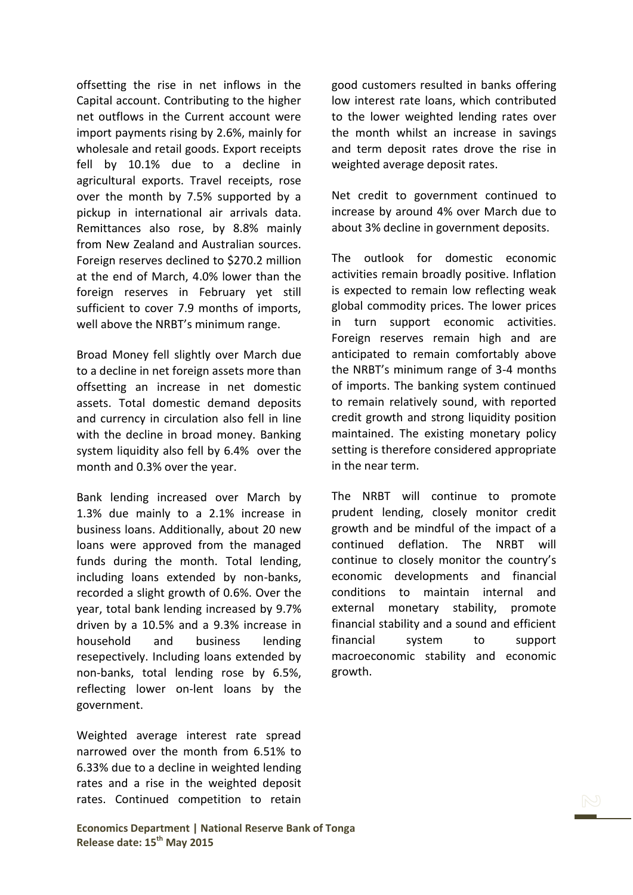offsetting the rise in net inflows in the Capital account. Contributing to the higher net outflows in the Current account were import payments rising by 2.6%, mainly for wholesale and retail goods. Export receipts fell by 10.1% due to a decline in agricultural exports. Travel receipts, rose over the month by 7.5% supported by a pickup in international air arrivals data. Remittances also rose, by 8.8% mainly from New Zealand and Australian sources. Foreign reserves declined to \$270.2 million at the end of March, 4.0% lower than the foreign reserves in February yet still sufficient to cover 7.9 months of imports, well above the NRBT's minimum range.

Broad Money fell slightly over March due to a decline in net foreign assets more than offsetting an increase in net domestic assets. Total domestic demand deposits and currency in circulation also fell in line with the decline in broad money. Banking system liquidity also fell by 6.4% over the month and 0.3% over the year.

Bank lending increased over March by 1.3% due mainly to a 2.1% increase in business loans. Additionally, about 20 new loans were approved from the managed funds during the month. Total lending, including loans extended by non-banks, recorded a slight growth of 0.6%. Over the year, total bank lending increased by 9.7% driven by a 10.5% and a 9.3% increase in household and business lending resepectively. Including loans extended by non-banks, total lending rose by 6.5%, reflecting lower on-lent loans by the government.

Weighted average interest rate spread narrowed over the month from 6.51% to 6.33% due to a decline in weighted lending rates and a rise in the weighted deposit rates. Continued competition to retain

good customers resulted in banks offering low interest rate loans, which contributed to the lower weighted lending rates over the month whilst an increase in savings and term deposit rates drove the rise in weighted average deposit rates.

Net credit to government continued to increase by around 4% over March due to about 3% decline in government deposits.

The outlook for domestic economic activities remain broadly positive. Inflation is expected to remain low reflecting weak global commodity prices. The lower prices in turn support economic activities. Foreign reserves remain high and are anticipated to remain comfortably above the NRBT's minimum range of 3-4 months of imports. The banking system continued to remain relatively sound, with reported credit growth and strong liquidity position maintained. The existing monetary policy setting is therefore considered appropriate in the near term.

The NRBT will continue to promote prudent lending, closely monitor credit growth and be mindful of the impact of a continued deflation. The NRBT will continue to closely monitor the country's economic developments and financial conditions to maintain internal and external monetary stability, promote financial stability and a sound and efficient financial system to support macroeconomic stability and economic growth.